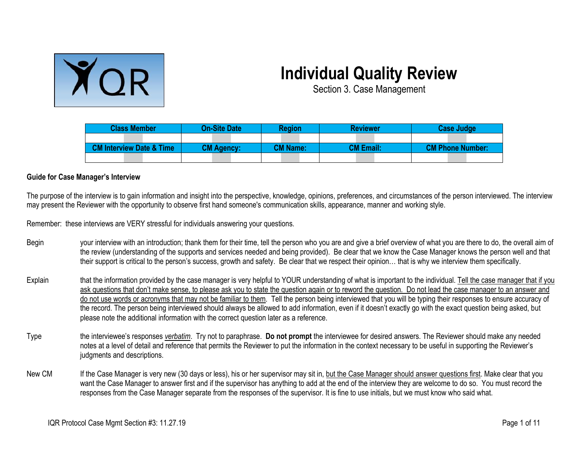

## **Individual Quality Review**

Section 3. Case Management

| <b>Class Member</b>                 | <b>On-Site Date</b> | <b>Region</b>   | <b>Reviewer</b>  | <b>Case Judge</b>       |  |
|-------------------------------------|---------------------|-----------------|------------------|-------------------------|--|
|                                     |                     |                 |                  |                         |  |
| <b>CM Interview Date &amp; Time</b> | <b>CM Agency:</b>   | <b>CM Name:</b> | <b>CM Email:</b> | <b>CM Phone Number:</b> |  |
|                                     |                     |                 |                  |                         |  |

## **Guide for Case Manager's Interview**

The purpose of the interview is to gain information and insight into the perspective, knowledge, opinions, preferences, and circumstances of the person interviewed. The interview may present the Reviewer with the opportunity to observe first hand someone's communication skills, appearance, manner and working style.

Remember: these interviews are VERY stressful for individuals answering your questions.

- Begin your interview with an introduction; thank them for their time, tell the person who you are and give a brief overview of what you are there to do, the overall aim of the review (understanding of the supports and services needed and being provided). Be clear that we know the Case Manager knows the person well and that their support is critical to the person's success, growth and safety. Be clear that we respect their opinion… that is why we interview them specifically.
- Explain that the information provided by the case manager is very helpful to YOUR understanding of what is important to the individual. Tell the case manager that if you ask questions that don't make sense, to please ask you to state the question again or to reword the question. Do not lead the case manager to an answer and do not use words or acronyms that may not be familiar to them. Tell the person being interviewed that you will be typing their responses to ensure accuracy of the record. The person being interviewed should always be allowed to add information, even if it doesn't exactly go with the exact question being asked, but please note the additional information with the correct question later as a reference.
- Type the interviewee's responses *verbatim*. Try not to paraphrase. **Do not prompt** the interviewee for desired answers. The Reviewer should make any needed notes at a level of detail and reference that permits the Reviewer to put the information in the context necessary to be useful in supporting the Reviewer's judgments and descriptions.
- New CM If the Case Manager is very new (30 days or less), his or her supervisor may sit in, but the Case Manager should answer questions first. Make clear that you want the Case Manager to answer first and if the supervisor has anything to add at the end of the interview they are welcome to do so. You must record the responses from the Case Manager separate from the responses of the supervisor. It is fine to use initials, but we must know who said what.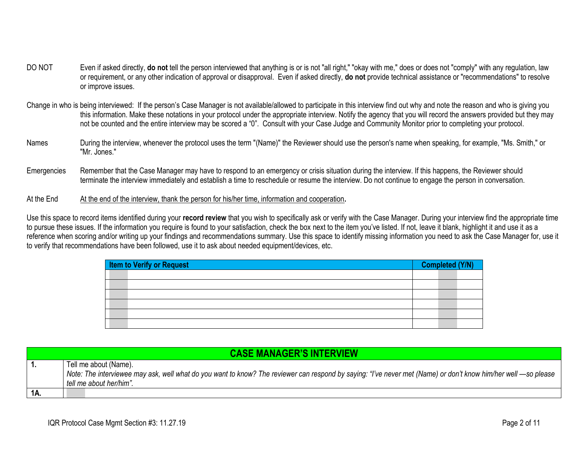- DO NOT Even if asked directly, **do not** tell the person interviewed that anything is or is not "all right," "okay with me," does or does not "comply" with any regulation, law or requirement, or any other indication of approval or disapproval. Even if asked directly, **do not** provide technical assistance or "recommendations" to resolve or improve issues.
- Change in who is being interviewed: If the person's Case Manager is not available/allowed to participate in this interview find out why and note the reason and who is giving you this information. Make these notations in your protocol under the appropriate interview. Notify the agency that you will record the answers provided but they may not be counted and the entire interview may be scored a "0". Consult with your Case Judge and Community Monitor prior to completing your protocol.
- Names During the interview, whenever the protocol uses the term "(Name)" the Reviewer should use the person's name when speaking, for example, "Ms. Smith," or "Mr. Jones."
- Emergencies Remember that the Case Manager may have to respond to an emergency or crisis situation during the interview. If this happens, the Reviewer should terminate the interview immediately and establish a time to reschedule or resume the interview. Do not continue to engage the person in conversation.
- At the End At the end of the interview, thank the person for his/her time, information and cooperation.

Use this space to record items identified during your **record review** that you wish to specifically ask or verify with the Case Manager. During your interview find the appropriate time to pursue these issues. If the information you require is found to your satisfaction, check the box next to the item you've listed. If not, leave it blank, highlight it and use it as a reference when scoring and/or writing up your findings and recommendations summary. Use this space to identify missing information you need to ask the Case Manager for, use it to verify that recommendations have been followed, use it to ask about needed equipment/devices, etc.

| <b>Item to Verify or Request</b> | Completed (Y/N) |
|----------------------------------|-----------------|
|                                  |                 |
|                                  |                 |
|                                  |                 |
|                                  |                 |
|                                  |                 |
|                                  |                 |

|     | <b>CASE MANAGER'S INTERVIEW</b>                                                                                                                                |
|-----|----------------------------------------------------------------------------------------------------------------------------------------------------------------|
|     | Tell me about (Name).                                                                                                                                          |
|     | Note: The interviewee may ask, well what do you want to know? The reviewer can respond by saying: "I've never met (Name) or don't know him/her well —so please |
|     | tell me about her/him".                                                                                                                                        |
| 1A. |                                                                                                                                                                |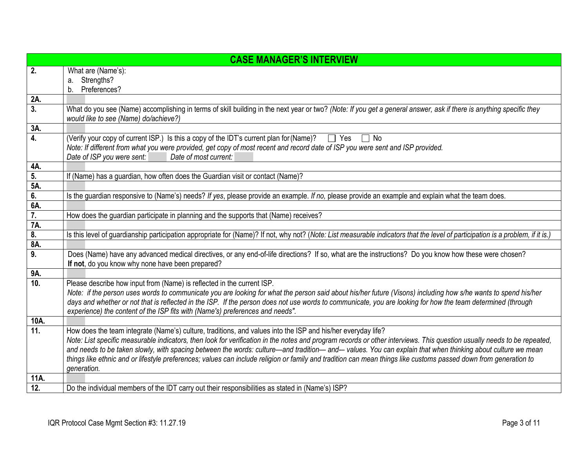|                  | <b>CASE MANAGER'S INTERVIEW</b>                                                                                                                                                                                                          |
|------------------|------------------------------------------------------------------------------------------------------------------------------------------------------------------------------------------------------------------------------------------|
| 2.               | What are (Name's):                                                                                                                                                                                                                       |
|                  | a. Strengths?                                                                                                                                                                                                                            |
|                  | b. Preferences?                                                                                                                                                                                                                          |
| 2A.              |                                                                                                                                                                                                                                          |
| $\overline{3}$ . | What do you see (Name) accomplishing in terms of skill building in the next year or two? (Note: If you get a general answer, ask if there is anything specific they<br>would like to see (Name) do/achieve?)                             |
| 3A.              |                                                                                                                                                                                                                                          |
| 4.               | (Verify your copy of current ISP.) Is this a copy of the IDT's current plan for (Name)?<br>$\Box$ Yes<br>$\Box$ No                                                                                                                       |
|                  | Note: If different from what you were provided, get copy of most recent and record date of ISP you were sent and ISP provided.                                                                                                           |
|                  | Date of ISP you were sent:<br>Date of most current:                                                                                                                                                                                      |
| 4A.              |                                                                                                                                                                                                                                          |
| 5.<br>5A.        | If (Name) has a guardian, how often does the Guardian visit or contact (Name)?                                                                                                                                                           |
| 6.               | Is the guardian responsive to (Name's) needs? If yes, please provide an example. If no, please provide an example and explain what the team does.                                                                                        |
| 6A.              |                                                                                                                                                                                                                                          |
| $\overline{7}$ . | How does the guardian participate in planning and the supports that (Name) receives?                                                                                                                                                     |
| 7A.              |                                                                                                                                                                                                                                          |
| 8.               | Is this level of guardianship participation appropriate for (Name)? If not, why not? (Note: List measurable indicators that the level of participation is a problem, if it is.)                                                          |
| 8A.              |                                                                                                                                                                                                                                          |
| $\overline{9}$ . | Does (Name) have any advanced medical directives, or any end-of-life directions? If so, what are the instructions? Do you know how these were chosen?                                                                                    |
|                  | If not, do you know why none have been prepared?                                                                                                                                                                                         |
| 9A.<br>10.       |                                                                                                                                                                                                                                          |
|                  | Please describe how input from (Name) is reflected in the current ISP.<br>Note: if the person uses words to communicate you are looking for what the person said about his/her future (Visons) including how s/he wants to spend his/her |
|                  | days and whether or not that is reflected in the ISP. If the person does not use words to communicate, you are looking for how the team determined (through                                                                              |
|                  | experience) the content of the ISP fits with (Name's) preferences and needs".                                                                                                                                                            |
| 10A.             |                                                                                                                                                                                                                                          |
| 11.              | How does the team integrate (Name's) culture, traditions, and values into the ISP and his/her everyday life?                                                                                                                             |
|                  | Note: List specific measurable indicators, then look for verification in the notes and program records or other interviews. This question usually needs to be repeated,                                                                  |
|                  | and needs to be taken slowly, with spacing between the words: culture—and tradition—and—values. You can explain that when thinking about culture we mean                                                                                 |
|                  | things like ethnic and or lifestyle preferences; values can include religion or family and tradition can mean things like customs passed down from generation to                                                                         |
|                  | generation.                                                                                                                                                                                                                              |
| 11A.             |                                                                                                                                                                                                                                          |
| 12.              | Do the individual members of the IDT carry out their responsibilities as stated in (Name's) ISP?                                                                                                                                         |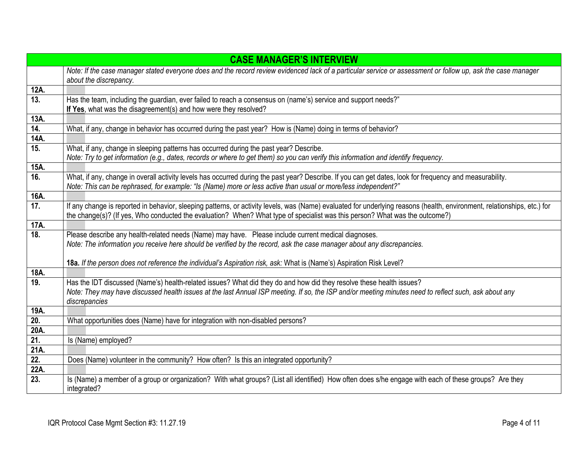|                   | <b>CASE MANAGER'S INTERVIEW</b>                                                                                                                                                                                                                                                                         |
|-------------------|---------------------------------------------------------------------------------------------------------------------------------------------------------------------------------------------------------------------------------------------------------------------------------------------------------|
|                   | Note: If the case manager stated everyone does and the record review evidenced lack of a particular service or assessment or follow up, ask the case manager                                                                                                                                            |
|                   | about the discrepancy.                                                                                                                                                                                                                                                                                  |
| 12A.              |                                                                                                                                                                                                                                                                                                         |
| 13.               | Has the team, including the guardian, ever failed to reach a consensus on (name's) service and support needs?"                                                                                                                                                                                          |
| 13A.              | If Yes, what was the disagreement(s) and how were they resolved?                                                                                                                                                                                                                                        |
| 14.               | What, if any, change in behavior has occurred during the past year? How is (Name) doing in terms of behavior?                                                                                                                                                                                           |
| 14A.              |                                                                                                                                                                                                                                                                                                         |
| 15.               | What, if any, change in sleeping patterns has occurred during the past year? Describe.                                                                                                                                                                                                                  |
|                   | Note: Try to get information (e.g., dates, records or where to get them) so you can verify this information and identify frequency.                                                                                                                                                                     |
| 15A.              |                                                                                                                                                                                                                                                                                                         |
| 16.               | What, if any, change in overall activity levels has occurred during the past year? Describe. If you can get dates, look for frequency and measurability.<br>Note: This can be rephrased, for example: "Is (Name) more or less active than usual or more/less independent?"                              |
| 16A.              |                                                                                                                                                                                                                                                                                                         |
| 17.               | If any change is reported in behavior, sleeping patterns, or activity levels, was (Name) evaluated for underlying reasons (health, environment, relationships, etc.) for<br>the change(s)? (If yes, Who conducted the evaluation? When? What type of specialist was this person? What was the outcome?) |
| 17A.              |                                                                                                                                                                                                                                                                                                         |
| 18.               | Please describe any health-related needs (Name) may have. Please include current medical diagnoses.                                                                                                                                                                                                     |
|                   | Note: The information you receive here should be verified by the record, ask the case manager about any discrepancies.                                                                                                                                                                                  |
|                   | 18a. If the person does not reference the individual's Aspiration risk, ask: What is (Name's) Aspiration Risk Level?                                                                                                                                                                                    |
| 18A.              |                                                                                                                                                                                                                                                                                                         |
| 19.               | Has the IDT discussed (Name's) health-related issues? What did they do and how did they resolve these health issues?                                                                                                                                                                                    |
|                   | Note: They may have discussed health issues at the last Annual ISP meeting. If so, the ISP and/or meeting minutes need to reflect such, ask about any                                                                                                                                                   |
|                   | discrepancies                                                                                                                                                                                                                                                                                           |
| 19A.              |                                                                                                                                                                                                                                                                                                         |
| 20.               | What opportunities does (Name) have for integration with non-disabled persons?                                                                                                                                                                                                                          |
| 20A.              |                                                                                                                                                                                                                                                                                                         |
| 21.               | Is (Name) employed?                                                                                                                                                                                                                                                                                     |
| 21A.              |                                                                                                                                                                                                                                                                                                         |
| $\overline{22}$ . | Does (Name) volunteer in the community? How often? Is this an integrated opportunity?                                                                                                                                                                                                                   |
| 22A.              |                                                                                                                                                                                                                                                                                                         |
| $\overline{23}$ . | Is (Name) a member of a group or organization? With what groups? (List all identified) How often does s/he engage with each of these groups? Are they<br>integrated?                                                                                                                                    |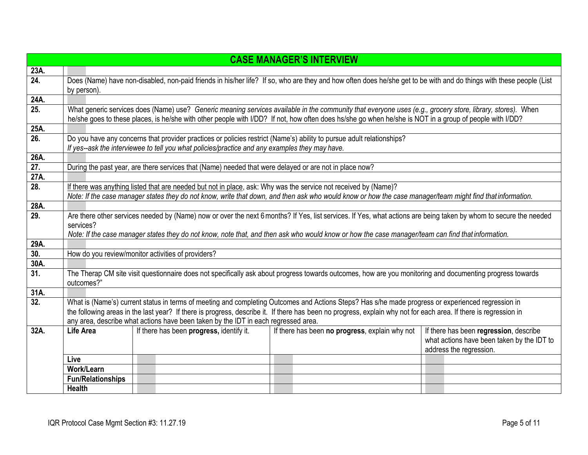|                   |                          |                                                                                                        | <b>CASE MANAGER'S INTERVIEW</b>                                                                                                                                     |                                                                       |
|-------------------|--------------------------|--------------------------------------------------------------------------------------------------------|---------------------------------------------------------------------------------------------------------------------------------------------------------------------|-----------------------------------------------------------------------|
| 23A.              |                          |                                                                                                        |                                                                                                                                                                     |                                                                       |
| $\overline{24}$ . |                          |                                                                                                        | Does (Name) have non-disabled, non-paid friends in his/her life? If so, who are they and how often does he/she get to be with and do things with these people (List |                                                                       |
|                   | by person).              |                                                                                                        |                                                                                                                                                                     |                                                                       |
| 24A.              |                          |                                                                                                        |                                                                                                                                                                     |                                                                       |
| 25.               |                          |                                                                                                        | What generic services does (Name) use? Generic meaning services available in the community that everyone uses (e.g., grocery store, library, stores). When          |                                                                       |
|                   |                          |                                                                                                        | he/she goes to these places, is he/she with other people with I/DD? If not, how often does hs/she go when he/she is NOT in a group of people with I/DD?             |                                                                       |
| 25A.              |                          |                                                                                                        |                                                                                                                                                                     |                                                                       |
| $\overline{26}$ . |                          |                                                                                                        | Do you have any concerns that provider practices or policies restrict (Name's) ability to pursue adult relationships?                                               |                                                                       |
|                   |                          | If yes--ask the interviewee to tell you what policies/practice and any examples they may have.         |                                                                                                                                                                     |                                                                       |
| 26A.              |                          |                                                                                                        |                                                                                                                                                                     |                                                                       |
| 27.               |                          | During the past year, are there services that (Name) needed that were delayed or are not in place now? |                                                                                                                                                                     |                                                                       |
| 27A.              |                          |                                                                                                        |                                                                                                                                                                     |                                                                       |
| 28.               |                          |                                                                                                        | If there was anything listed that are needed but not in place, ask: Why was the service not received by (Name)?                                                     |                                                                       |
|                   |                          |                                                                                                        | Note: If the case manager states they do not know, write that down, and then ask who would know or how the case manager/team might find that information.           |                                                                       |
| 28A.              |                          |                                                                                                        |                                                                                                                                                                     |                                                                       |
| 29.               |                          |                                                                                                        | Are there other services needed by (Name) now or over the next 6 months? If Yes, list services. If Yes, what actions are being taken by whom to secure the needed   |                                                                       |
|                   | services?                |                                                                                                        |                                                                                                                                                                     |                                                                       |
|                   |                          |                                                                                                        | Note: If the case manager states they do not know, note that, and then ask who would know or how the case manager/team can find that information.                   |                                                                       |
| 29A.              |                          |                                                                                                        |                                                                                                                                                                     |                                                                       |
| 30.               |                          | How do you review/monitor activities of providers?                                                     |                                                                                                                                                                     |                                                                       |
| 30A.              |                          |                                                                                                        |                                                                                                                                                                     |                                                                       |
| 31.               |                          |                                                                                                        | The Therap CM site visit questionnaire does not specifically ask about progress towards outcomes, how are you monitoring and documenting progress towards           |                                                                       |
|                   | outcomes?"               |                                                                                                        |                                                                                                                                                                     |                                                                       |
| 31A.              |                          |                                                                                                        |                                                                                                                                                                     |                                                                       |
| 32.               |                          |                                                                                                        | What is (Name's) current status in terms of meeting and completing Outcomes and Actions Steps? Has s/he made progress or experienced regression in                  |                                                                       |
|                   |                          |                                                                                                        | the following areas in the last year? If there is progress, describe it. If there has been no progress, explain why not for each area. If there is regression in    |                                                                       |
|                   |                          | any area, describe what actions have been taken by the IDT in each regressed area.                     |                                                                                                                                                                     |                                                                       |
| 32A.              | Life Area                | If there has been progress, identify it.                                                               | If there has been no progress, explain why not                                                                                                                      | If there has been regression, describe                                |
|                   |                          |                                                                                                        |                                                                                                                                                                     | what actions have been taken by the IDT to<br>address the regression. |
|                   | Live                     |                                                                                                        |                                                                                                                                                                     |                                                                       |
|                   | <b>Work/Learn</b>        |                                                                                                        |                                                                                                                                                                     |                                                                       |
|                   | <b>Fun/Relationships</b> |                                                                                                        |                                                                                                                                                                     |                                                                       |
|                   | <b>Health</b>            |                                                                                                        |                                                                                                                                                                     |                                                                       |
|                   |                          |                                                                                                        |                                                                                                                                                                     |                                                                       |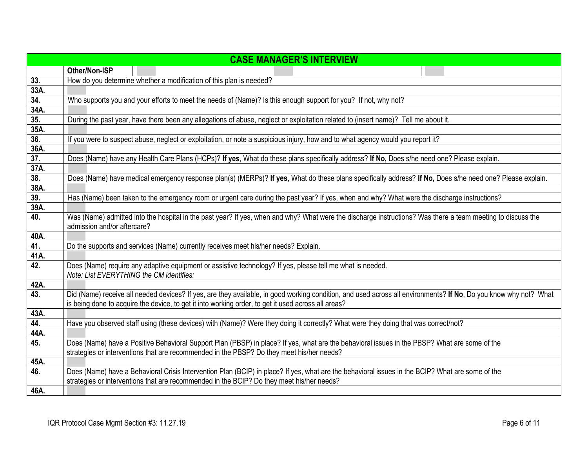|             | <b>CASE MANAGER'S INTERVIEW</b>                                                                                                                                  |
|-------------|------------------------------------------------------------------------------------------------------------------------------------------------------------------|
|             | Other/Non-ISP                                                                                                                                                    |
| 33.         | How do you determine whether a modification of this plan is needed?                                                                                              |
| 33A.        |                                                                                                                                                                  |
| 34.         | Who supports you and your efforts to meet the needs of (Name)? Is this enough support for you? If not, why not?                                                  |
| 34A.        |                                                                                                                                                                  |
| 35.         | During the past year, have there been any allegations of abuse, neglect or exploitation related to (insert name)? Tell me about it.                              |
| 35A.        |                                                                                                                                                                  |
| 36.         | If you were to suspect abuse, neglect or exploitation, or note a suspicious injury, how and to what agency would you report it?                                  |
| 36A.        |                                                                                                                                                                  |
| 37.         | Does (Name) have any Health Care Plans (HCPs)? If yes, What do these plans specifically address? If No, Does s/he need one? Please explain.                      |
| 37A.        |                                                                                                                                                                  |
| 38.         | Does (Name) have medical emergency response plan(s) (MERPs)? If yes, What do these plans specifically address? If No, Does s/he need one? Please explain.        |
| 38A.        |                                                                                                                                                                  |
| 39.         | Has (Name) been taken to the emergency room or urgent care during the past year? If yes, when and why? What were the discharge instructions?                     |
| 39A.        |                                                                                                                                                                  |
| 40.         | Was (Name) admitted into the hospital in the past year? If yes, when and why? What were the discharge instructions? Was there a team meeting to discuss the      |
|             | admission and/or aftercare?                                                                                                                                      |
| 40A.        |                                                                                                                                                                  |
| 41.         | Do the supports and services (Name) currently receives meet his/her needs? Explain.                                                                              |
| 41A.<br>42. |                                                                                                                                                                  |
|             | Does (Name) require any adaptive equipment or assistive technology? If yes, please tell me what is needed.<br>Note: List EVERYTHING the CM identifies:           |
| 42A.        |                                                                                                                                                                  |
| 43.         | Did (Name) receive all needed devices? If yes, are they available, in good working condition, and used across all environments? If No, Do you know why not? What |
|             | is being done to acquire the device, to get it into working order, to get it used across all areas?                                                              |
| 43A.        |                                                                                                                                                                  |
| 44.         | Have you observed staff using (these devices) with (Name)? Were they doing it correctly? What were they doing that was correct/not?                              |
| 44A.        |                                                                                                                                                                  |
| 45.         | Does (Name) have a Positive Behavioral Support Plan (PBSP) in place? If yes, what are the behavioral issues in the PBSP? What are some of the                    |
|             | strategies or interventions that are recommended in the PBSP? Do they meet his/her needs?                                                                        |
| 45A.        |                                                                                                                                                                  |
| 46.         | Does (Name) have a Behavioral Crisis Intervention Plan (BCIP) in place? If yes, what are the behavioral issues in the BCIP? What are some of the                 |
|             | strategies or interventions that are recommended in the BCIP? Do they meet his/her needs?                                                                        |
| 46A.        |                                                                                                                                                                  |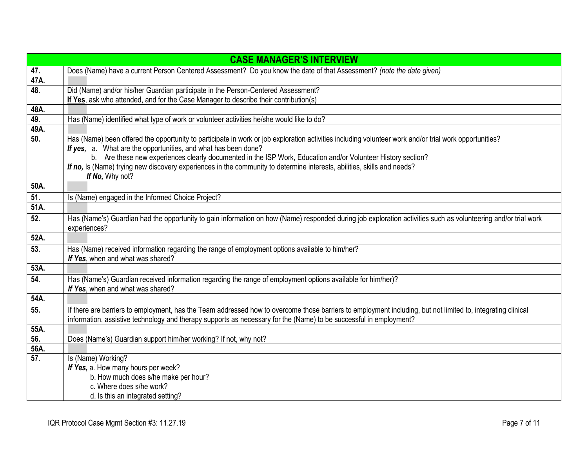|      | <b>CASE MANAGER'S INTERVIEW</b>                                                                                                                                                                                                                                                    |
|------|------------------------------------------------------------------------------------------------------------------------------------------------------------------------------------------------------------------------------------------------------------------------------------|
| 47.  | Does (Name) have a current Person Centered Assessment? Do you know the date of that Assessment? (note the date given)                                                                                                                                                              |
| 47A. |                                                                                                                                                                                                                                                                                    |
| 48.  | Did (Name) and/or his/her Guardian participate in the Person-Centered Assessment?                                                                                                                                                                                                  |
|      | If Yes, ask who attended, and for the Case Manager to describe their contribution(s)                                                                                                                                                                                               |
| 48A. |                                                                                                                                                                                                                                                                                    |
| 49.  | Has (Name) identified what type of work or volunteer activities he/she would like to do?                                                                                                                                                                                           |
| 49A. |                                                                                                                                                                                                                                                                                    |
| 50.  | Has (Name) been offered the opportunity to participate in work or job exploration activities including volunteer work and/or trial work opportunities?                                                                                                                             |
|      | If yes, a. What are the opportunities, and what has been done?                                                                                                                                                                                                                     |
|      | b. Are these new experiences clearly documented in the ISP Work, Education and/or Volunteer History section?<br>If no, Is (Name) trying new discovery experiences in the community to determine interests, abilities, skills and needs?                                            |
|      | If No, Why not?                                                                                                                                                                                                                                                                    |
| 50A. |                                                                                                                                                                                                                                                                                    |
| 51.  | Is (Name) engaged in the Informed Choice Project?                                                                                                                                                                                                                                  |
| 51A. |                                                                                                                                                                                                                                                                                    |
| 52.  | Has (Name's) Guardian had the opportunity to gain information on how (Name) responded during job exploration activities such as volunteering and/or trial work<br>experiences?                                                                                                     |
| 52A. |                                                                                                                                                                                                                                                                                    |
| 53.  | Has (Name) received information regarding the range of employment options available to him/her?                                                                                                                                                                                    |
|      | If Yes, when and what was shared?                                                                                                                                                                                                                                                  |
| 53A. |                                                                                                                                                                                                                                                                                    |
| 54.  | Has (Name's) Guardian received information regarding the range of employment options available for him/her)?                                                                                                                                                                       |
|      | If Yes, when and what was shared?                                                                                                                                                                                                                                                  |
| 54A. |                                                                                                                                                                                                                                                                                    |
| 55.  | If there are barriers to employment, has the Team addressed how to overcome those barriers to employment including, but not limited to, integrating clinical<br>information, assistive technology and therapy supports as necessary for the (Name) to be successful in employment? |
| 55A. |                                                                                                                                                                                                                                                                                    |
| 56.  | Does (Name's) Guardian support him/her working? If not, why not?                                                                                                                                                                                                                   |
| 56A. |                                                                                                                                                                                                                                                                                    |
| 57.  | Is (Name) Working?                                                                                                                                                                                                                                                                 |
|      | If Yes, a. How many hours per week?                                                                                                                                                                                                                                                |
|      | b. How much does s/he make per hour?                                                                                                                                                                                                                                               |
|      | c. Where does s/he work?                                                                                                                                                                                                                                                           |
|      | d. Is this an integrated setting?                                                                                                                                                                                                                                                  |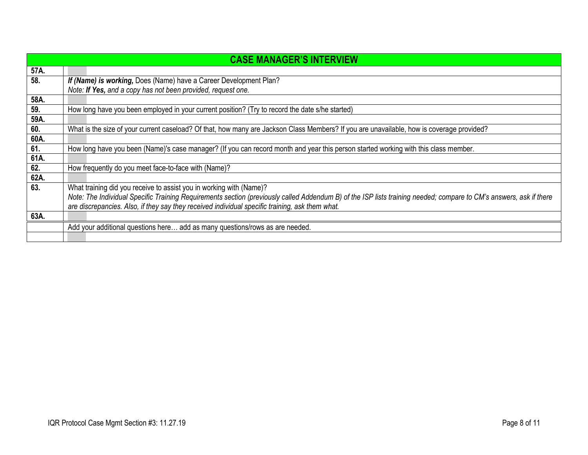|      | <b>CASE MANAGER'S INTERVIEW</b>                                                                                                                                    |
|------|--------------------------------------------------------------------------------------------------------------------------------------------------------------------|
| 57A. |                                                                                                                                                                    |
| 58.  | If (Name) is working, Does (Name) have a Career Development Plan?                                                                                                  |
|      | Note: If Yes, and a copy has not been provided, request one.                                                                                                       |
| 58A. |                                                                                                                                                                    |
| 59.  | How long have you been employed in your current position? (Try to record the date s/he started)                                                                    |
| 59A. |                                                                                                                                                                    |
| 60.  | What is the size of your current caseload? Of that, how many are Jackson Class Members? If you are unavailable, how is coverage provided?                          |
| 60A. |                                                                                                                                                                    |
| 61.  | How long have you been (Name)'s case manager? (If you can record month and year this person started working with this class member.                                |
| 61A. |                                                                                                                                                                    |
| 62.  | How frequently do you meet face-to-face with (Name)?                                                                                                               |
| 62A. |                                                                                                                                                                    |
| 63.  | What training did you receive to assist you in working with (Name)?                                                                                                |
|      | Note: The Individual Specific Training Requirements section (previously called Addendum B) of the ISP lists training needed; compare to CM's answers, ask if there |
|      | are discrepancies. Also, if they say they received individual specific training, ask them what.                                                                    |
| 63A. |                                                                                                                                                                    |
|      | Add your additional questions here add as many questions/rows as are needed.                                                                                       |
|      |                                                                                                                                                                    |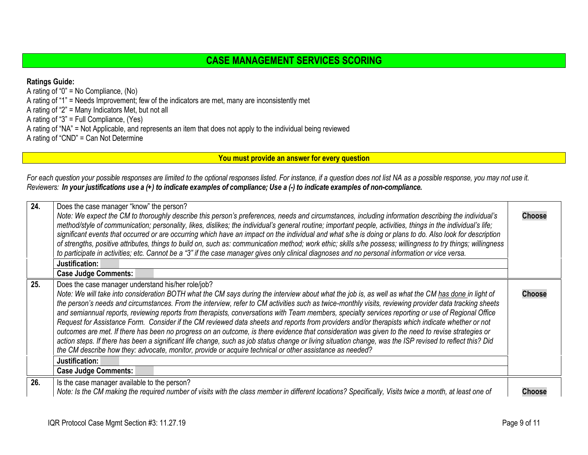## **CASE MANAGEMENT SERVICES SCORING**

**Ratings Guide:** A rating of "0" = No Compliance, (No) A rating of "1" = Needs Improvement; few of the indicators are met, many are inconsistently met A rating of "2" = Many Indicators Met, but not all A rating of "3" = Full Compliance, (Yes) A rating of "NA" = Not Applicable, and represents an item that does not apply to the individual being reviewed A rating of "CND" = Can Not Determine

<span id="page-8-2"></span><span id="page-8-1"></span><span id="page-8-0"></span>**You must provide an answer for every question**

For each question your possible responses are limited to the optional responses listed. For instance, if a question does not list NA as a possible response, you may not use it. Reviewers: In your justifications use a (+) to indicate examples of compliance; Use a (-) to indicate examples of non-compliance.

| 24. | Does the case manager "know" the person?<br>Note: We expect the CM to thoroughly describe this person's preferences, needs and circumstances, including information describing the individual's<br>method/style of communication; personality, likes, dislikes; the individual's general routine; important people, activities, things in the individual's life;<br>significant events that occurred or are occurring which have an impact on the individual and what s/he is doing or plans to do. Also look for description<br>of strengths, positive attributes, things to build on, such as: communication method; work ethic; skills s/he possess; willingness to try things; willingness<br>to participate in activities; etc. Cannot be a "3" if the case manager gives only clinical diagnoses and no personal information or vice versa.<br>Justification:<br><b>Case Judge Comments:</b>                                                                                                                                                                                                                                                          | <b>Choose</b> |
|-----|-------------------------------------------------------------------------------------------------------------------------------------------------------------------------------------------------------------------------------------------------------------------------------------------------------------------------------------------------------------------------------------------------------------------------------------------------------------------------------------------------------------------------------------------------------------------------------------------------------------------------------------------------------------------------------------------------------------------------------------------------------------------------------------------------------------------------------------------------------------------------------------------------------------------------------------------------------------------------------------------------------------------------------------------------------------------------------------------------------------------------------------------------------------|---------------|
| 25. | Does the case manager understand his/her role/job?<br>Note: We will take into consideration BOTH what the CM says during the interview about what the job is, as well as what the CM has done in light of<br>the person's needs and circumstances. From the interview, refer to CM activities such as twice-monthly visits, reviewing provider data tracking sheets<br>and semiannual reports, reviewing reports from therapists, conversations with Team members, specialty services reporting or use of Regional Office<br>Request for Assistance Form. Consider if the CM reviewed data sheets and reports from providers and/or therapists which indicate whether or not<br>outcomes are met. If there has been no progress on an outcome, is there evidence that consideration was given to the need to revise strategies or<br>action steps. If there has been a significant life change, such as job status change or living situation change, was the ISP revised to reflect this? Did<br>the CM describe how they: advocate, monitor, provide or acquire technical or other assistance as needed?<br>Justification:<br><b>Case Judge Comments:</b> | <b>Choose</b> |
| 26. | Is the case manager available to the person?<br>Note: Is the CM making the required number of visits with the class member in different locations? Specifically, Visits twice a month, at least one of                                                                                                                                                                                                                                                                                                                                                                                                                                                                                                                                                                                                                                                                                                                                                                                                                                                                                                                                                      | <b>Choose</b> |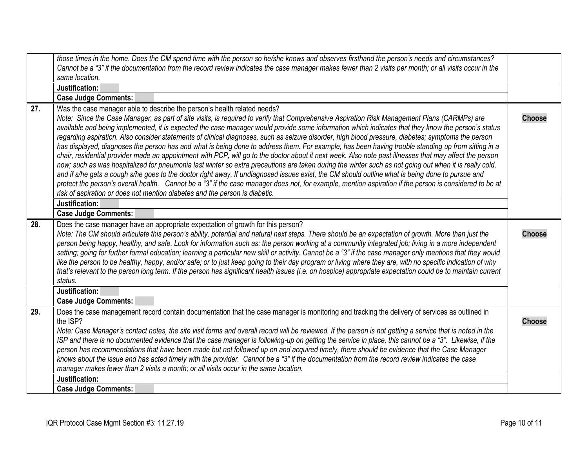<span id="page-9-2"></span><span id="page-9-1"></span><span id="page-9-0"></span>

|     | those times in the home. Does the CM spend time with the person so he/she knows and observes firsthand the person's needs and circumstances?<br>Cannot be a "3" if the documentation from the record review indicates the case manager makes fewer than 2 visits per month; or all visits occur in the                                                                                                                                                                                                                                                                                                                                                                                                                                                                                                                                                                                                                                                                                                                                                                                                                                                                                                                                                                                                                                                                                                                          |               |
|-----|---------------------------------------------------------------------------------------------------------------------------------------------------------------------------------------------------------------------------------------------------------------------------------------------------------------------------------------------------------------------------------------------------------------------------------------------------------------------------------------------------------------------------------------------------------------------------------------------------------------------------------------------------------------------------------------------------------------------------------------------------------------------------------------------------------------------------------------------------------------------------------------------------------------------------------------------------------------------------------------------------------------------------------------------------------------------------------------------------------------------------------------------------------------------------------------------------------------------------------------------------------------------------------------------------------------------------------------------------------------------------------------------------------------------------------|---------------|
|     | same location.                                                                                                                                                                                                                                                                                                                                                                                                                                                                                                                                                                                                                                                                                                                                                                                                                                                                                                                                                                                                                                                                                                                                                                                                                                                                                                                                                                                                                  |               |
|     | Justification:                                                                                                                                                                                                                                                                                                                                                                                                                                                                                                                                                                                                                                                                                                                                                                                                                                                                                                                                                                                                                                                                                                                                                                                                                                                                                                                                                                                                                  |               |
|     | <b>Case Judge Comments:</b>                                                                                                                                                                                                                                                                                                                                                                                                                                                                                                                                                                                                                                                                                                                                                                                                                                                                                                                                                                                                                                                                                                                                                                                                                                                                                                                                                                                                     |               |
| 27. | Was the case manager able to describe the person's health related needs?<br>Note: Since the Case Manager, as part of site visits, is required to verify that Comprehensive Aspiration Risk Management Plans (CARMPs) are<br>available and being implemented, it is expected the case manager would provide some information which indicates that they know the person's status<br>regarding aspiration. Also consider statements of clinical diagnoses, such as seizure disorder, high blood pressure, diabetes; symptoms the person<br>has displayed, diagnoses the person has and what is being done to address them. For example, has been having trouble standing up from sitting in a<br>chair, residential provider made an appointment with PCP, will go to the doctor about it next week. Also note past illnesses that may affect the person<br>now; such as was hospitalized for pneumonia last winter so extra precautions are taken during the winter such as not going out when it is really cold,<br>and if s/he gets a cough s/he goes to the doctor right away. If undiagnosed issues exist, the CM should outline what is being done to pursue and<br>protect the person's overall health. Cannot be a "3" if the case manager does not, for example, mention aspiration if the person is considered to be at<br>risk of aspiration or does not mention diabetes and the person is diabetic.<br>Justification: | <b>Choose</b> |
|     | <b>Case Judge Comments:</b>                                                                                                                                                                                                                                                                                                                                                                                                                                                                                                                                                                                                                                                                                                                                                                                                                                                                                                                                                                                                                                                                                                                                                                                                                                                                                                                                                                                                     |               |
| 28. | Does the case manager have an appropriate expectation of growth for this person?<br>Note: The CM should articulate this person's ability, potential and natural next steps. There should be an expectation of growth. More than just the<br>person being happy, healthy, and safe. Look for information such as: the person working at a community integrated job; living in a more independent<br>setting; going for further formal education; learning a particular new skill or activity. Cannot be a "3" if the case manager only mentions that they would<br>like the person to be healthy, happy, and/or safe; or to just keep going to their day program or living where they are, with no specific indication of why<br>that's relevant to the person long term. If the person has significant health issues (i.e. on hospice) appropriate expectation could be to maintain current<br>status.                                                                                                                                                                                                                                                                                                                                                                                                                                                                                                                          | <b>Choose</b> |
|     | Justification:                                                                                                                                                                                                                                                                                                                                                                                                                                                                                                                                                                                                                                                                                                                                                                                                                                                                                                                                                                                                                                                                                                                                                                                                                                                                                                                                                                                                                  |               |
|     | <b>Case Judge Comments:</b>                                                                                                                                                                                                                                                                                                                                                                                                                                                                                                                                                                                                                                                                                                                                                                                                                                                                                                                                                                                                                                                                                                                                                                                                                                                                                                                                                                                                     |               |
| 29. | Does the case management record contain documentation that the case manager is monitoring and tracking the delivery of services as outlined in<br>the ISP?<br>Note: Case Manager's contact notes, the site visit forms and overall record will be reviewed. If the person is not getting a service that is noted in the<br>ISP and there is no documented evidence that the case manager is following-up on getting the service in place, this cannot be a "3". Likewise, if the<br>person has recommendations that have been made but not followed up on and acquired timely, there should be evidence that the Case Manager<br>knows about the issue and has acted timely with the provider. Cannot be a "3" if the documentation from the record review indicates the case<br>manager makes fewer than 2 visits a month; or all visits occur in the same location.<br>Justification:                                                                                                                                                                                                                                                                                                                                                                                                                                                                                                                                         | <b>Choose</b> |
|     |                                                                                                                                                                                                                                                                                                                                                                                                                                                                                                                                                                                                                                                                                                                                                                                                                                                                                                                                                                                                                                                                                                                                                                                                                                                                                                                                                                                                                                 |               |
|     | <b>Case Judge Comments:</b>                                                                                                                                                                                                                                                                                                                                                                                                                                                                                                                                                                                                                                                                                                                                                                                                                                                                                                                                                                                                                                                                                                                                                                                                                                                                                                                                                                                                     |               |